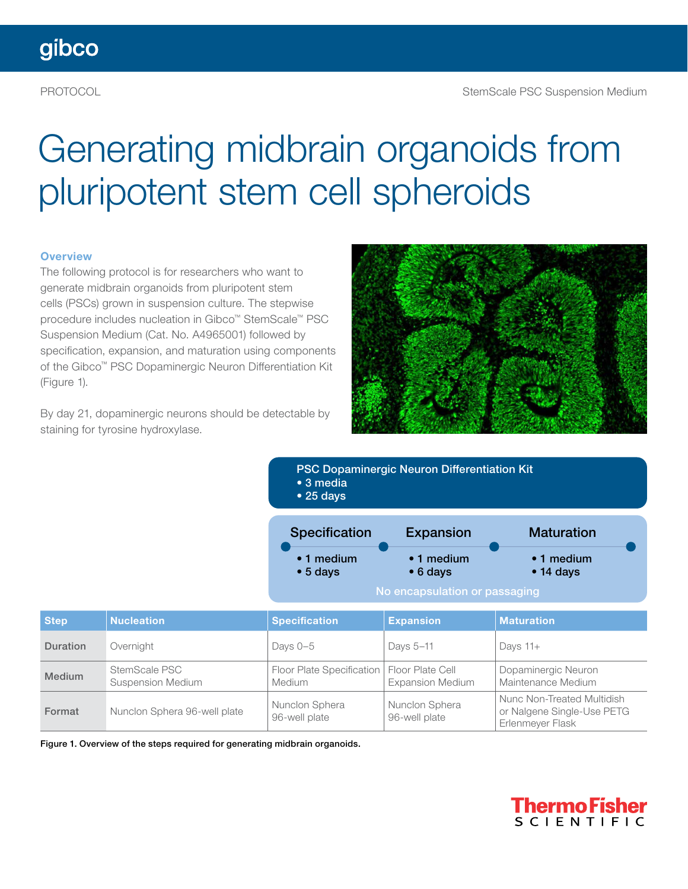# Generating midbrain organoids from pluripotent stem cell spheroids

#### **Overview**

The following protocol is for researchers who want to generate midbrain organoids from pluripotent stem cells (PSCs) grown in suspension culture. The stepwise procedure includes nucleation in Gibco™ StemScale™ PSC Suspension Medium (Cat. No. A4965001) followed by specification, expansion, and maturation using components of the Gibco™ PSC Dopaminergic Neuron Differentiation Kit (Figure 1).

By day 21, dopaminergic neurons should be detectable by staining for tyrosine hydroxylase.



Specification Expansion Maturation PSC Dopaminergic Neuron Differentiation Kit • 3 media • 25 days Expansion

| $\cdot$ 1 medium | $\bullet$ 1 medium | $\bullet$ 1 medium |
|------------------|--------------------|--------------------|
| $\bullet$ 5 days | $\bullet$ 6 days   | $\bullet$ 14 days  |

No encapsulation or passaging

| <b>Step</b>   | <b>Nucleation</b>                         | <b>Specification</b>                       | <b>Expansion</b>                            | <b>Maturation</b>                                                            |
|---------------|-------------------------------------------|--------------------------------------------|---------------------------------------------|------------------------------------------------------------------------------|
| Duration      | Overnight                                 | Days $0-5$                                 | Days 5-11                                   | Days $11+$                                                                   |
| <b>Medium</b> | StemScale PSC<br><b>Suspension Medium</b> | Floor Plate Specification<br><b>Medium</b> | Floor Plate Cell<br><b>Expansion Medium</b> | Dopaminergic Neuron<br>Maintenance Medium                                    |
| Format        | Nunclon Sphera 96-well plate              | Nunclon Sphera<br>96-well plate            | Nunclon Sphera<br>96-well plate             | Nunc Non-Treated Multidish<br>or Nalgene Single-Use PETG<br>Erlenmeyer Flask |

Figure 1. Overview of the steps required for generating midbrain organoids.

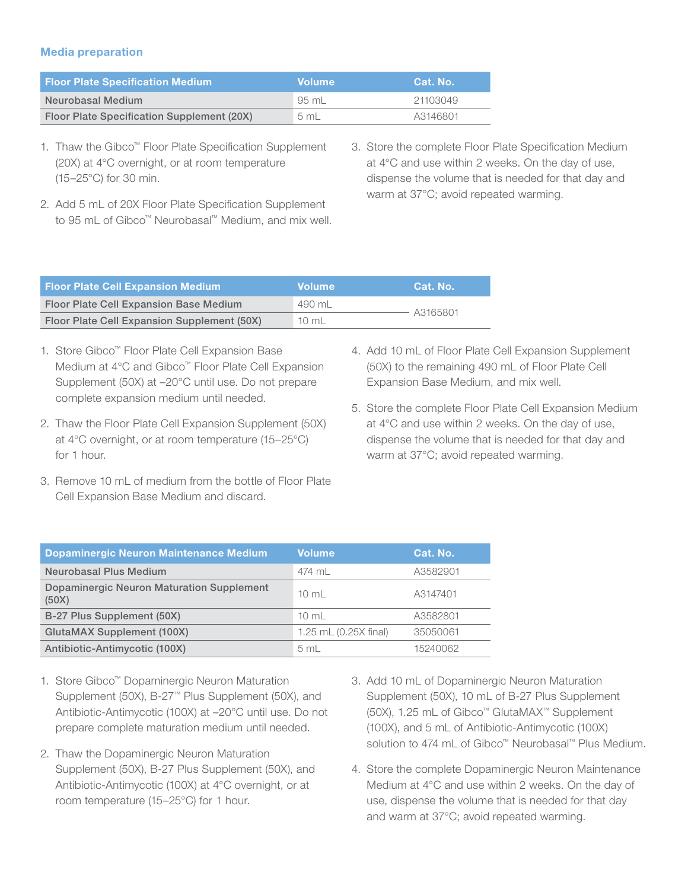#### Media preparation

| <b>Floor Plate Specification Medium</b>    | <b>Volume</b> | Cat. No. |
|--------------------------------------------|---------------|----------|
| Neurobasal Medium                          | 95 mL         | 21103049 |
| Floor Plate Specification Supplement (20X) | 5 mL          | A3146801 |

- 1. Thaw the Gibco™ Floor Plate Specification Supplement (20X) at 4°C overnight, or at room temperature (15–25°C) for 30 min.
- 2. Add 5 mL of 20X Floor Plate Specification Supplement to 95 mL of Gibco™ Neurobasal™ Medium, and mix well.
- 3. Store the complete Floor Plate Specification Medium at 4°C and use within 2 weeks. On the day of use, dispense the volume that is needed for that day and warm at 37°C; avoid repeated warming.

| <b>Floor Plate Cell Expansion Medium</b>      | <b>Volume</b>   | Cat. No. |  |
|-----------------------------------------------|-----------------|----------|--|
| <b>Floor Plate Cell Expansion Base Medium</b> | 490 mL          | A3165801 |  |
| Floor Plate Cell Expansion Supplement (50X)   | $10 \text{ mL}$ |          |  |

- 1. Store Gibco™ Floor Plate Cell Expansion Base Medium at 4°C and Gibco™ Floor Plate Cell Expansion Supplement (50X) at –20°C until use. Do not prepare complete expansion medium until needed.
- 2. Thaw the Floor Plate Cell Expansion Supplement (50X) at 4°C overnight, or at room temperature (15–25°C) for 1 hour.
- 3. Remove 10 mL of medium from the bottle of Floor Plate Cell Expansion Base Medium and discard.
- 4. Add 10 mL of Floor Plate Cell Expansion Supplement (50X) to the remaining 490 mL of Floor Plate Cell Expansion Base Medium, and mix well.
- 5. Store the complete Floor Plate Cell Expansion Medium at 4°C and use within 2 weeks. On the day of use, dispense the volume that is needed for that day and warm at 37°C; avoid repeated warming.

| Dopaminergic Neuron Maintenance Medium             | <b>Volume</b>            | Cat. No. |
|----------------------------------------------------|--------------------------|----------|
| <b>Neurobasal Plus Medium</b>                      | 474 ml                   | A3582901 |
| Dopaminergic Neuron Maturation Supplement<br>(50X) | $10 \text{ ml}$          | A3147401 |
| B-27 Plus Supplement (50X)                         | $10 \text{ ml}$          | A3582801 |
| <b>GlutaMAX Supplement (100X)</b>                  | 1.25 $mL (0.25X)$ final) | 35050061 |
| Antibiotic-Antimycotic (100X)                      | 5 <sub>m</sub>           | 15240062 |

- 1. Store Gibco™ Dopaminergic Neuron Maturation Supplement (50X), B-27™ Plus Supplement (50X), and Antibiotic-Antimycotic (100X) at –20°C until use. Do not prepare complete maturation medium until needed.
- 2. Thaw the Dopaminergic Neuron Maturation Supplement (50X), B-27 Plus Supplement (50X), and Antibiotic-Antimycotic (100X) at 4°C overnight, or at room temperature (15–25°C) for 1 hour.
- 3. Add 10 mL of Dopaminergic Neuron Maturation Supplement (50X), 10 mL of B-27 Plus Supplement (50X), 1.25 mL of Gibco™ GlutaMAX™ Supplement (100X), and 5 mL of Antibiotic-Antimycotic (100X) solution to 474 mL of Gibco™ Neurobasal™ Plus Medium.
- 4. Store the complete Dopaminergic Neuron Maintenance Medium at 4°C and use within 2 weeks. On the day of use, dispense the volume that is needed for that day and warm at 37°C; avoid repeated warming.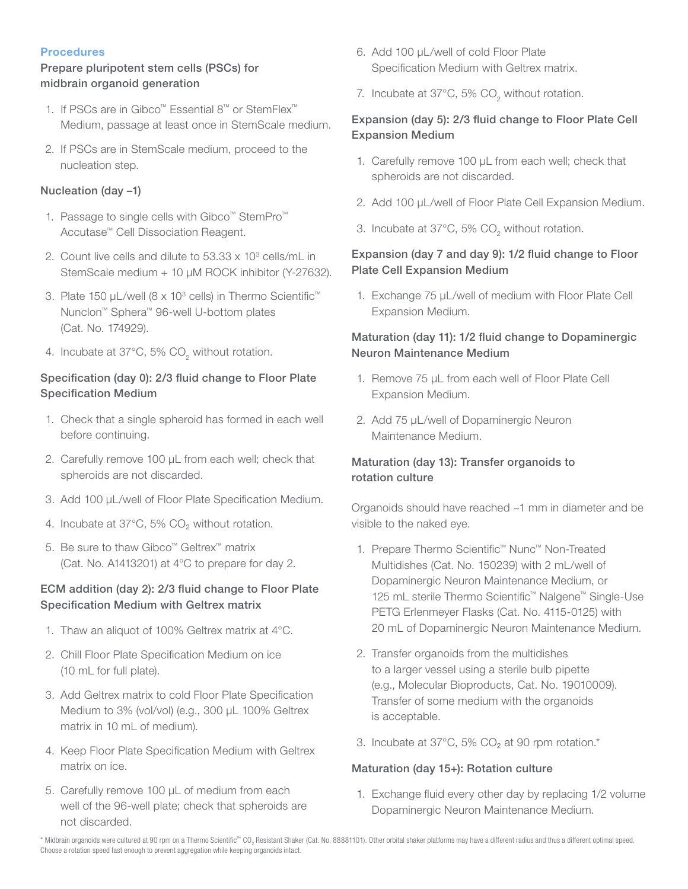#### **Procedures**

#### Prepare pluripotent stem cells (PSCs) for midbrain organoid generation

- 1. If PSCs are in Gibco™ Essential 8™ or StemFlex™ Medium, passage at least once in StemScale medium.
- 2. If PSCs are in StemScale medium, proceed to the nucleation step.

#### Nucleation (day –1)

- 1. Passage to single cells with Gibco™ StemPro™ Accutase™ Cell Dissociation Reagent.
- 2. Count live cells and dilute to  $53.33 \times 10^3$  cells/mL in StemScale medium + 10 µM ROCK inhibitor (Y-27632).
- 3. Plate 150 µL/well (8 x 10<sup>3</sup> cells) in Thermo Scientific™ Nunclon™ Sphera™ 96-well U-bottom plates (Cat. No. 174929).
- 4. Incubate at 37°C, 5%  $CO<sub>2</sub>$  without rotation.

#### Specification (day 0): 2/3 fluid change to Floor Plate Specification Medium

- 1. Check that a single spheroid has formed in each well before continuing.
- 2. Carefully remove 100 µL from each well; check that spheroids are not discarded.
- 3. Add 100 µL/well of Floor Plate Specification Medium.
- 4. Incubate at  $37^{\circ}$ C, 5% CO<sub>2</sub> without rotation.
- 5. Be sure to thaw Gibco™ Geltrex™ matrix (Cat. No. A1413201) at 4°C to prepare for day 2.

#### ECM addition (day 2): 2/3 fluid change to Floor Plate Specification Medium with Geltrex matrix

- 1. Thaw an aliquot of 100% Geltrex matrix at 4°C.
- 2. Chill Floor Plate Specification Medium on ice (10 mL for full plate).
- 3. Add Geltrex matrix to cold Floor Plate Specification Medium to 3% (vol/vol) (e.g., 300 µL 100% Geltrex matrix in 10 mL of medium).
- 4. Keep Floor Plate Specification Medium with Geltrex matrix on ice.
- 5. Carefully remove 100 µL of medium from each well of the 96-well plate; check that spheroids are not discarded.
- 6. Add 100 µL/well of cold Floor Plate Specification Medium with Geltrex matrix.
- 7. Incubate at  $37^{\circ}$ C, 5% CO<sub>2</sub> without rotation.

#### Expansion (day 5): 2/3 fluid change to Floor Plate Cell Expansion Medium

- 1. Carefully remove 100 µL from each well; check that spheroids are not discarded.
- 2. Add 100 µL/well of Floor Plate Cell Expansion Medium.
- 3. Incubate at 37°C, 5%  $CO_{2}$  without rotation.

#### Expansion (day 7 and day 9): 1/2 fluid change to Floor Plate Cell Expansion Medium

1. Exchange 75 µL/well of medium with Floor Plate Cell Expansion Medium.

#### Maturation (day 11): 1/2 fluid change to Dopaminergic Neuron Maintenance Medium

- 1. Remove 75 µL from each well of Floor Plate Cell Expansion Medium.
- 2. Add 75 µL/well of Dopaminergic Neuron Maintenance Medium.

#### Maturation (day 13): Transfer organoids to rotation culture

Organoids should have reached ~1 mm in diameter and be visible to the naked eye.

- 1. Prepare Thermo Scientific™ Nunc™ Non-Treated Multidishes (Cat. No. 150239) with 2 mL/well of Dopaminergic Neuron Maintenance Medium, or 125 mL sterile Thermo Scientific™ Nalgene™ Single-Use PETG Erlenmeyer Flasks (Cat. No. 4115-0125) with 20 mL of Dopaminergic Neuron Maintenance Medium.
- 2. Transfer organoids from the multidishes to a larger vessel using a sterile bulb pipette (e.g., Molecular Bioproducts, Cat. No. 19010009). Transfer of some medium with the organoids is acceptable.
- 3. Incubate at  $37^{\circ}$ C, 5% CO<sub>2</sub> at 90 rpm rotation.\*

#### Maturation (day 15+): Rotation culture

1. Exchange fluid every other day by replacing 1/2 volume Dopaminergic Neuron Maintenance Medium.

\* Midbrain organoids were cultured at 90 rpm on a Thermo Scientific™ CO<sub>2</sub> Resistant Shaker (Cat. No. 88881101). Other orbital shaker platforms may have a different radius and thus a different optimal speed. Choose a rotation speed fast enough to prevent aggregation while keeping organoids intact.